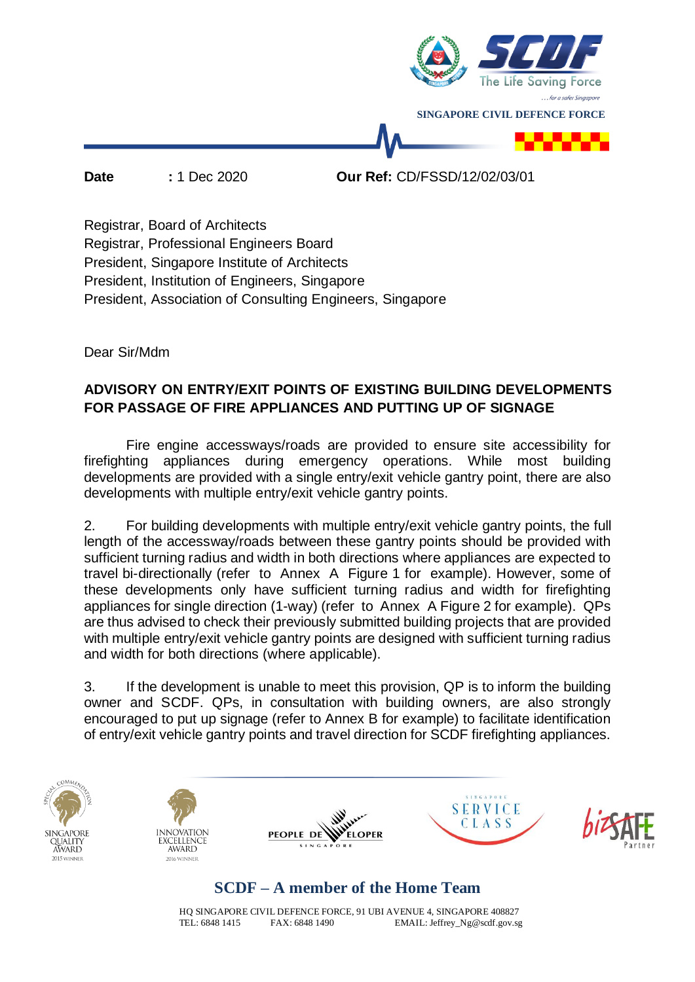

**Date :** 1 Dec 2020 **Our Ref:** CD/FSSD/12/02/03/01

Registrar, Board of Architects Registrar, Professional Engineers Board President, Singapore Institute of Architects President, Institution of Engineers, Singapore President, Association of Consulting Engineers, Singapore

Dear Sir/Mdm

### **ADVISORY ON ENTRY/EXIT POINTS OF EXISTING BUILDING DEVELOPMENTS FOR PASSAGE OF FIRE APPLIANCES AND PUTTING UP OF SIGNAGE**

Fire engine accessways/roads are provided to ensure site accessibility for firefighting appliances during emergency operations. While most building developments are provided with a single entry/exit vehicle gantry point, there are also developments with multiple entry/exit vehicle gantry points.

2. For building developments with multiple entry/exit vehicle gantry points, the full length of the accessway/roads between these gantry points should be provided with sufficient turning radius and width in both directions where appliances are expected to travel bi-directionally (refer to Annex A Figure 1 for example). However, some of these developments only have sufficient turning radius and width for firefighting appliances for single direction (1-way) (refer to Annex A Figure 2 for example). QPs are thus advised to check their previously submitted building projects that are provided with multiple entry/exit vehicle gantry points are designed with sufficient turning radius and width for both directions (where applicable).

3. If the development is unable to meet this provision, QP is to inform the building owner and SCDF. QPs, in consultation with building owners, are also strongly encouraged to put up signage (refer to Annex B for example) to facilitate identification of entry/exit vehicle gantry points and travel direction for SCDF firefighting appliances.



# **SCDF – A member of the Home Team**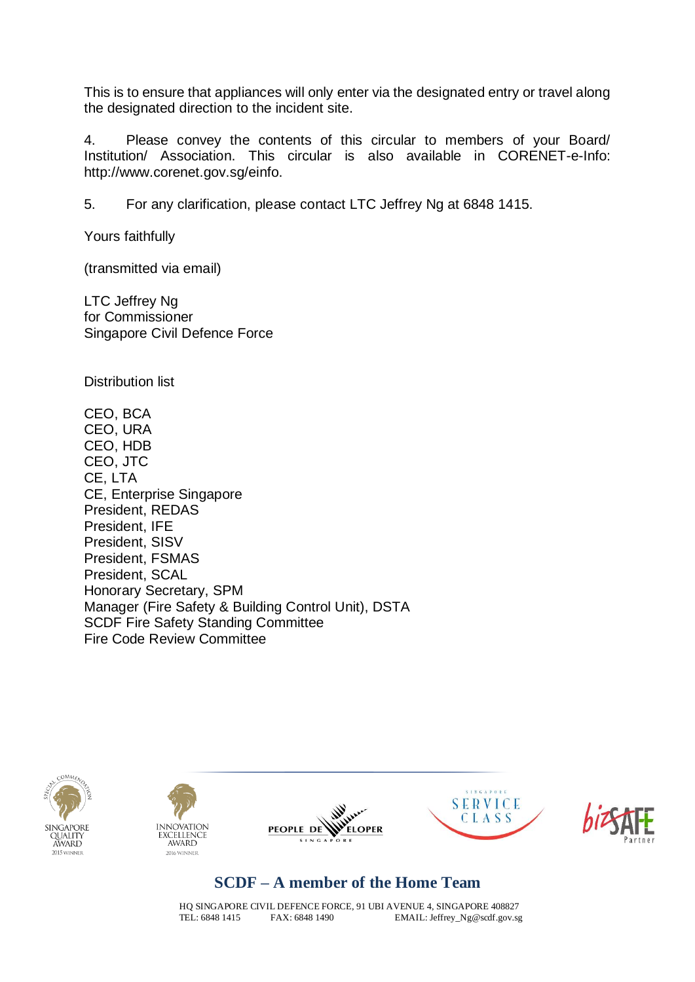This is to ensure that appliances will only enter via the designated entry or travel along the designated direction to the incident site.

4. Please convey the contents of this circular to members of your Board/ Institution/ Association. This circular is also available in CORENET-e-Info: http://www.corenet.gov.sg/einfo.

5. For any clarification, please contact LTC Jeffrey Ng at 6848 1415.

Yours faithfully

(transmitted via email)

LTC Jeffrey Ng for Commissioner Singapore Civil Defence Force

Distribution list

CEO, BCA CEO, URA CEO, HDB CEO, JTC CE, LTA CE, Enterprise Singapore President, REDAS President, IFE President, SISV President, FSMAS President, SCAL Honorary Secretary, SPM Manager (Fire Safety & Building Control Unit), DSTA SCDF Fire Safety Standing Committee Fire Code Review Committee











### **SCDF – A member of the Home Team**

HQ SINGAPORE CIVIL DEFENCE FORCE, 91 UBI AVENUE 4, SINGAPORE 408827<br>TEL: 6848 1415 FAX: 6848 1490 FMAIL: Jeffrey Ng@scdf.gov.sg EMAIL: Jeffrey\_Ng@scdf.gov.sg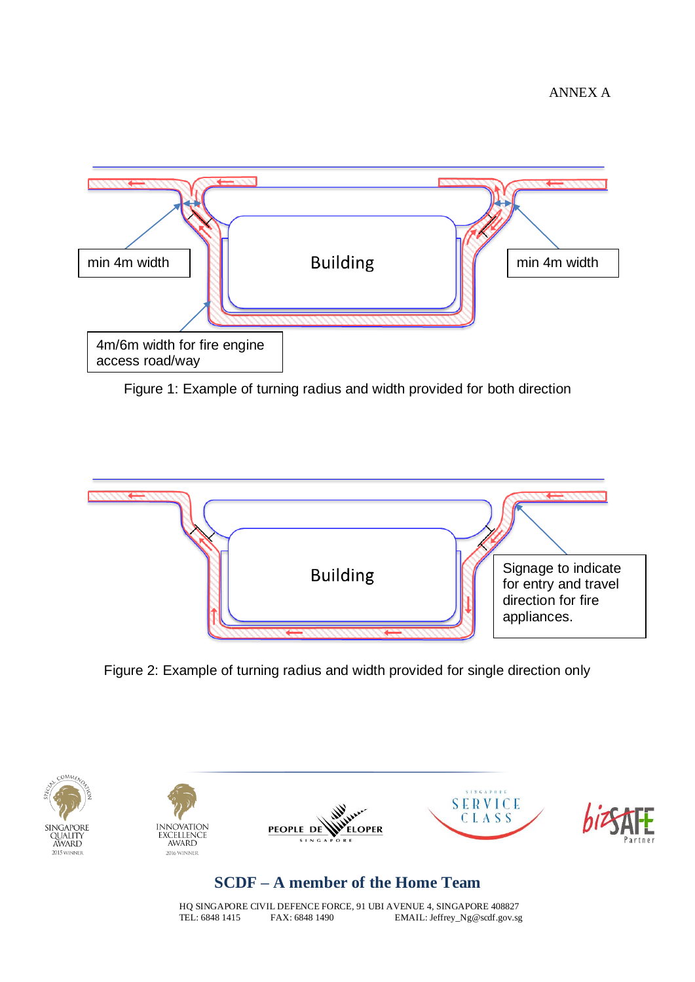

Figure 1: Example of turning radius and width provided for both direction



Figure 2: Example of turning radius and width provided for single direction only



## **SCDF – A member of the Home Team**

HQ SINGAPORE CIVIL DEFENCE FORCE, 91 UBI AVENUE 4, SINGAPORE 408827<br>TEL: 6848 1415 FAX: 6848 1490 EMAIL: Jeffrey Ng@scdf.gov.sg EMAIL: Jeffrey\_Ng@scdf.gov.sg